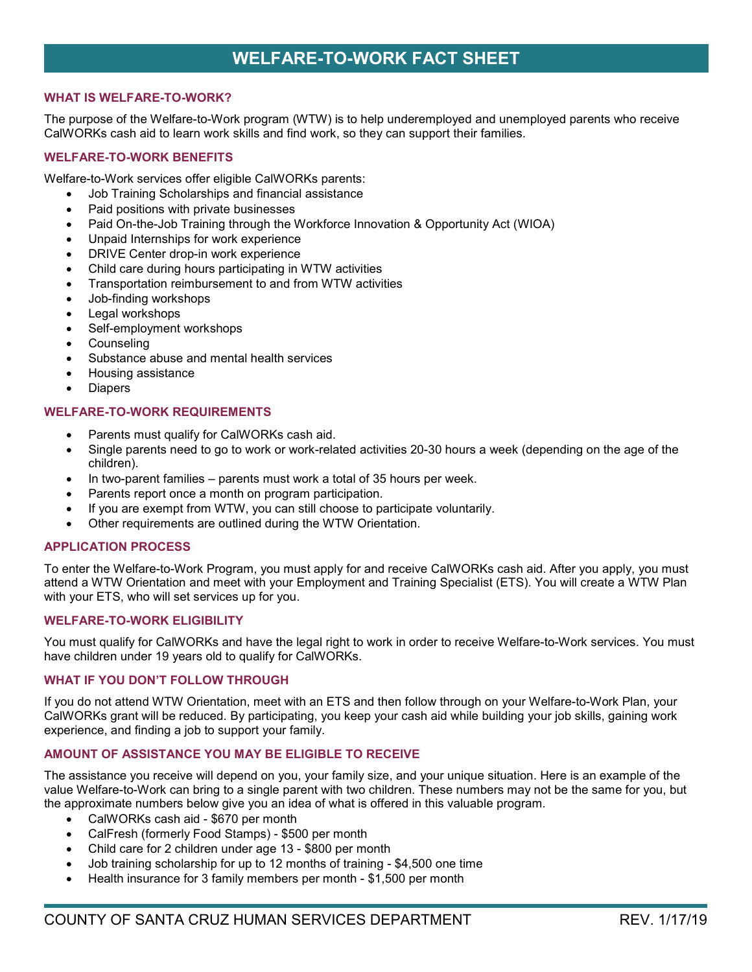# **WELFARE-TO-WORK FACT SHEET**

## **WHAT IS WELFARE-TO-WORK?**

The purpose of the Welfare-to-Work program (WTW) is to help underemployed and unemployed parents who receive CalWORKs cash aid to learn work skills and find work, so they can support their families.

# **WELFARE-TO-WORK BENEFITS**

Welfare-to-Work services offer eligible CalWORKs parents:

- Job Training Scholarships and financial assistance
- Paid positions with private businesses
- Paid On-the-Job Training through the Workforce Innovation & Opportunity Act (WIOA)
- Unpaid Internships for work experience
- DRIVE Center drop-in work experience
- Child care during hours participating in WTW activities
- Transportation reimbursement to and from WTW activities
- Job-finding workshops
- Legal workshops
- Self-employment workshops
- **Counseling**
- Substance abuse and mental health services
- Housing assistance
- Diapers

## **WELFARE-TO-WORK REQUIREMENTS**

- Parents must qualify for CalWORKs cash aid.
- Single parents need to go to work or work-related activities 20-30 hours a week (depending on the age of the children).
- In two-parent families parents must work a total of 35 hours per week.
- Parents report once a month on program participation.
- If you are exempt from WTW, you can still choose to participate voluntarily.
- Other requirements are outlined during the WTW Orientation.

### **APPLICATION PROCESS**

To enter the Welfare-to-Work Program, you must apply for and receive CalWORKs cash aid. After you apply, you must attend a WTW Orientation and meet with your Employment and Training Specialist (ETS). You will create a WTW Plan with your ETS, who will set services up for you.

# **WELFARE-TO-WORK ELIGIBILITY**

You must qualify for CalWORKs and have the legal right to work in order to receive Welfare-to-Work services. You must have children under 19 years old to qualify for CalWORKs.

### **WHAT IF YOU DON'T FOLLOW THROUGH**

If you do not attend WTW Orientation, meet with an ETS and then follow through on your Welfare-to-Work Plan, your CalWORKs grant will be reduced. By participating, you keep your cash aid while building your job skills, gaining work experience, and finding a job to support your family.

### **AMOUNT OF ASSISTANCE YOU MAY BE ELIGIBLE TO RECEIVE**

The assistance you receive will depend on you, your family size, and your unique situation. Here is an example of the value Welfare-to-Work can bring to a single parent with two children. These numbers may not be the same for you, but the approximate numbers below give you an idea of what is offered in this valuable program.

- CalWORKs cash aid \$670 per month
- CalFresh (formerly Food Stamps) \$500 per month
- Child care for 2 children under age 13 \$800 per month
- Job training scholarship for up to 12 months of training \$4,500 one time
- Health insurance for 3 family members per month \$1,500 per month